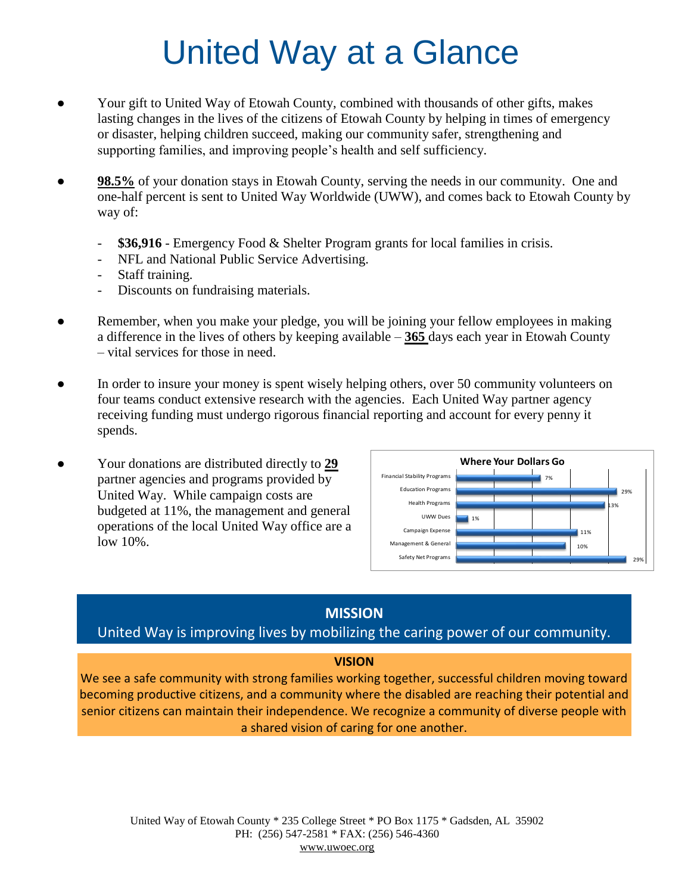## United Way at a Glance

- Your gift to United Way of Etowah County, combined with thousands of other gifts, makes lasting changes in the lives of the citizens of Etowah County by helping in times of emergency or disaster, helping children succeed, making our community safer, strengthening and supporting families, and improving people's health and self sufficiency.
- **98.5%** of your donation stays in Etowah County, serving the needs in our community. One and one-half percent is sent to United Way Worldwide (UWW), and comes back to Etowah County by way of:
	- \$36,916 Emergency Food & Shelter Program grants for local families in crisis.
	- NFL and National Public Service Advertising.
	- Staff training.
	- Discounts on fundraising materials.
- Remember, when you make your pledge, you will be joining your fellow employees in making a difference in the lives of others by keeping available – **365** days each year in Etowah County – vital services for those in need.
- In order to insure your money is spent wisely helping others, over 50 community volunteers on four teams conduct extensive research with the agencies. Each United Way partner agency receiving funding must undergo rigorous financial reporting and account for every penny it spends.
- Your donations are distributed directly to **29** partner agencies and programs provided by United Way. While campaign costs are budgeted at 11%, the management and general operations of the local United Way office are a low 10%.



### **MISSION**

### United Way is improving lives by mobilizing the caring power of our community.

#### **VISION**

We see a safe community with strong families working together, successful children moving toward becoming productive citizens, and a community where the disabled are reaching their potential and senior citizens can maintain their independence. We recognize a community of diverse people with a shared vision of caring for one another.

United Way of Etowah County \* 235 College Street \* PO Box 1175 \* Gadsden, AL 35902 PH: (256) 547-2581 \* FAX: (256) 546-4360 www.uwoec.org